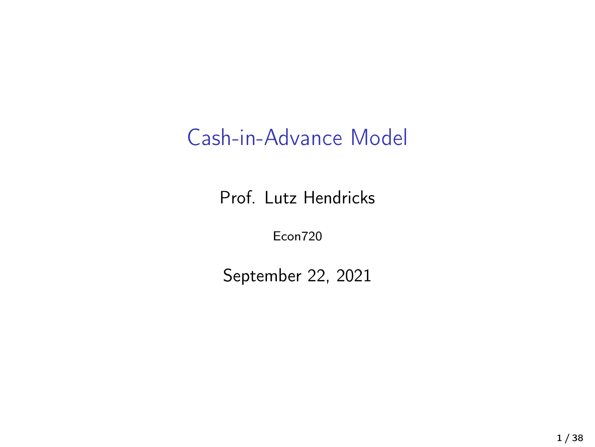## Cash-in-Advance Model

Prof. Lutz Hendricks

Econ720

September 22, 2021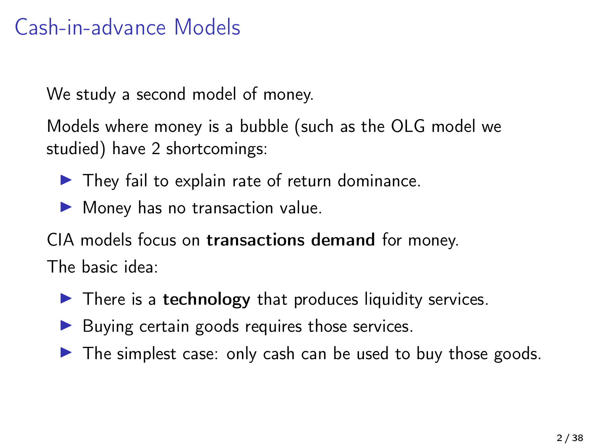## Cash-in-advance Models

We study a second model of money.

Models where money is a bubble (such as the OLG model we studied) have 2 shortcomings:

- $\blacktriangleright$  They fail to explain rate of return dominance.
- $\blacktriangleright$  Money has no transaction value.

CIA models focus on transactions demand for money. The basic idea:

- $\blacktriangleright$  There is a technology that produces liquidity services.
- $\blacktriangleright$  Buying certain goods requires those services.
- $\triangleright$  The simplest case: only cash can be used to buy those goods.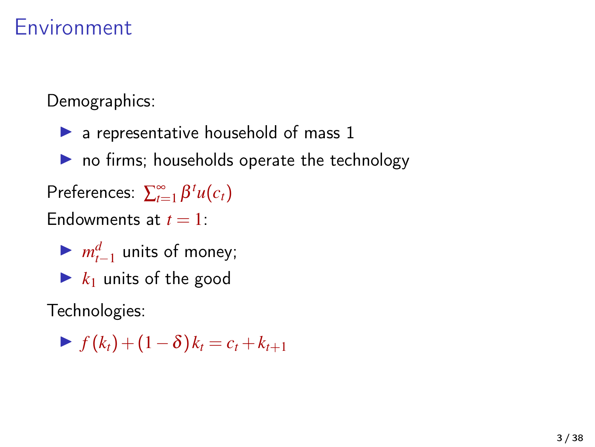## Environment

Demographics:

- $\blacktriangleright$  a representative household of mass 1
- $\blacktriangleright$  no firms; households operate the technology
- Preferences:  $\sum_{t=1}^{\infty} \beta^t u(c_t)$
- Endowments at  $t = 1$ :
	- $\blacktriangleright$   $m_{t-1}^d$  units of money;
	- $\blacktriangleright$   $k_1$  units of the good

Technologies:

 $\blacktriangleright$  *f* (*k<sub>t</sub>*) + (1 − δ)  $k_t = c_t + k_{t+1}$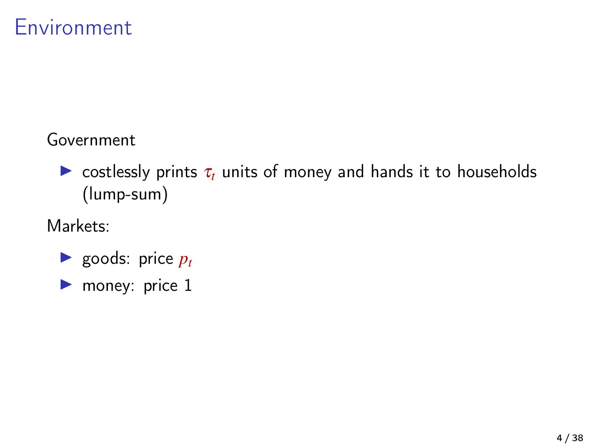## Environment

#### Government

 $\triangleright$  costlessly prints  $\tau_t$  units of money and hands it to households (lump-sum)

#### Markets:

- $\blacktriangleright$  goods: price  $p_t$
- $\blacktriangleright$  money: price 1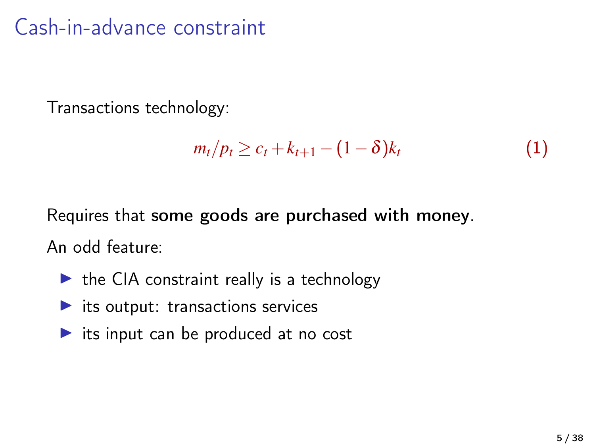## Cash-in-advance constraint

Transactions technology:

$$
m_t/p_t \geq c_t + k_{t+1} - (1 - \delta)k_t \tag{1}
$$

Requires that some goods are purchased with money.

An odd feature:

- $\blacktriangleright$  the CIA constraint really is a technology
- $\blacktriangleright$  its output: transactions services
- $\triangleright$  its input can be produced at no cost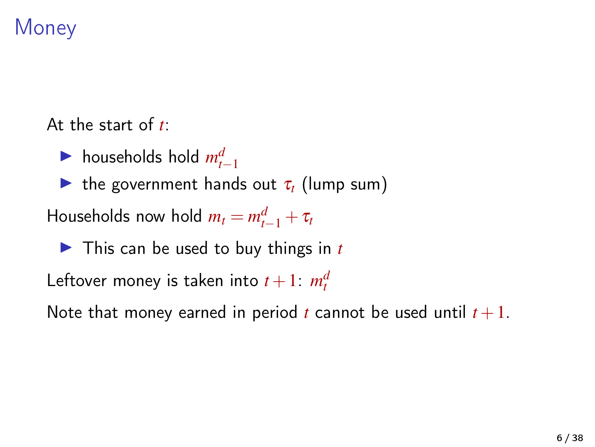## **Money**

At the start of *t*:

▶ households hold  $m_{t-1}^d$ 

**If** the government hands out  $\tau_t$  (lump sum)

Households now hold  $m_t = m_{t-1}^d + \tau_t$ 

▶ This can be used to buy things in *t* 

Leftover money is taken into  $t+1$ :  $m_t^d$ 

Note that money earned in period *t* cannot be used until  $t + 1$ .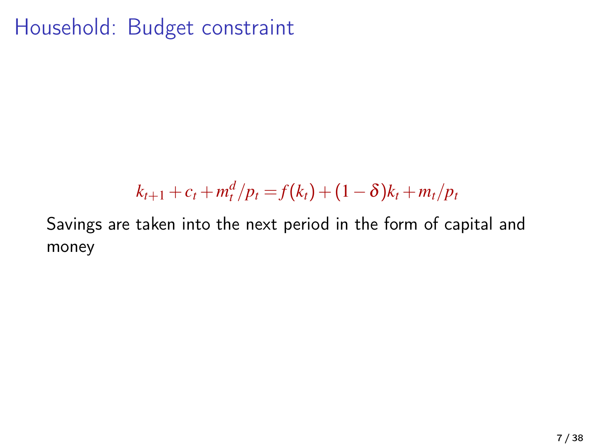Household: Budget constraint

# $k_{t+1} + c_t + m_t^d / p_t = f(k_t) + (1 - \delta)k_t + m_t / p_t$

Savings are taken into the next period in the form of capital and money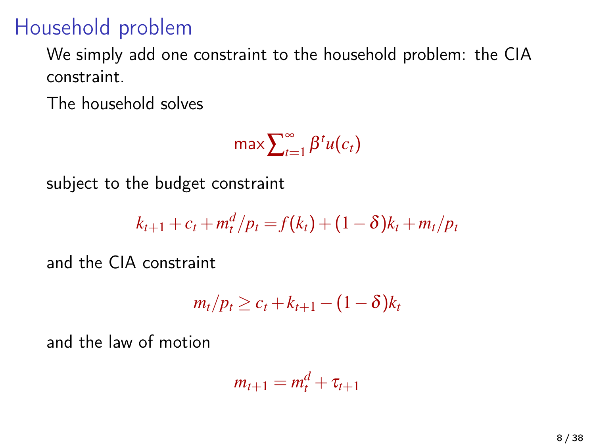## Household problem

We simply add one constraint to the household problem: the CIA constraint.

The household solves

max $\sum_{t=1}^{\infty}$  $\sum_{t=1}^{\infty} \beta^t u(c_t)$ 

subject to the budget constraint

$$
k_{t+1} + c_t + m_t^d / p_t = f(k_t) + (1 - \delta)k_t + m_t / p_t
$$

and the CIA constraint

$$
m_t/p_t \geq c_t + k_{t+1} - (1-\delta)k_t
$$

and the law of motion

$$
m_{t+1}=m_t^d+\tau_{t+1}
$$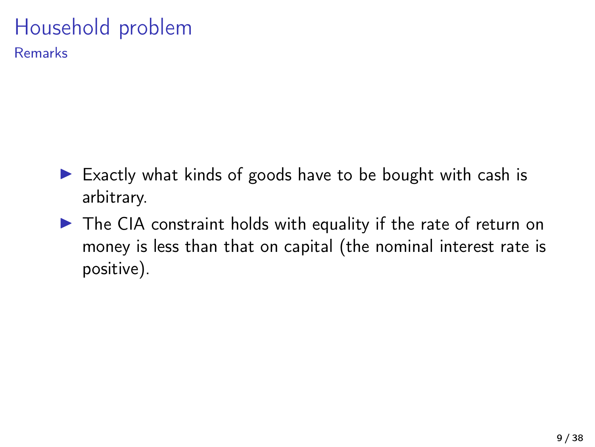# Household problem

Remarks

- $\triangleright$  Exactly what kinds of goods have to be bought with cash is arbitrary.
- $\triangleright$  The CIA constraint holds with equality if the rate of return on money is less than that on capital (the nominal interest rate is positive).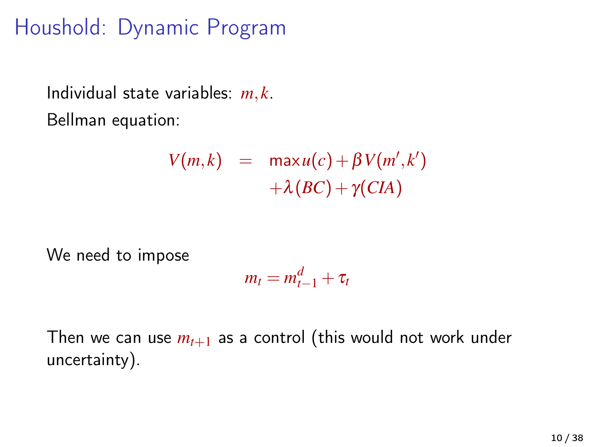## Houshold: Dynamic Program

Individual state variables: *m*, *k*. Bellman equation:

$$
V(m,k) = \max u(c) + \beta V(m',k') + \lambda (BC) + \gamma (CIA)
$$

We need to impose

$$
m_t = m_{t-1}^d + \tau_t
$$

Then we can use  $m_{t+1}$  as a control (this would not work under uncertainty).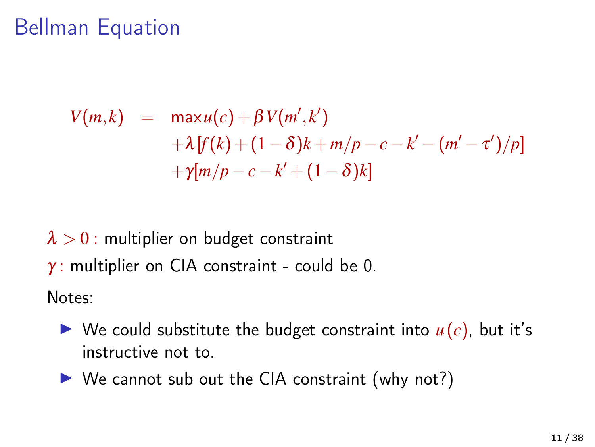## Bellman Equation

$$
V(m,k) = \max u(c) + \beta V(m',k') + \lambda [f(k) + (1 - \delta)k + m/p - c - k' - (m' - \tau')/p] + \gamma [m/p - c - k' + (1 - \delta)k]
$$

 $\lambda > 0$ : multiplier on budget constraint  $\gamma$ : multiplier on CIA constraint - could be 0.

Notes:

- $\triangleright$  We could substitute the budget constraint into  $u(c)$ , but it's instructive not to.
- $\triangleright$  We cannot sub out the CIA constraint (why not?)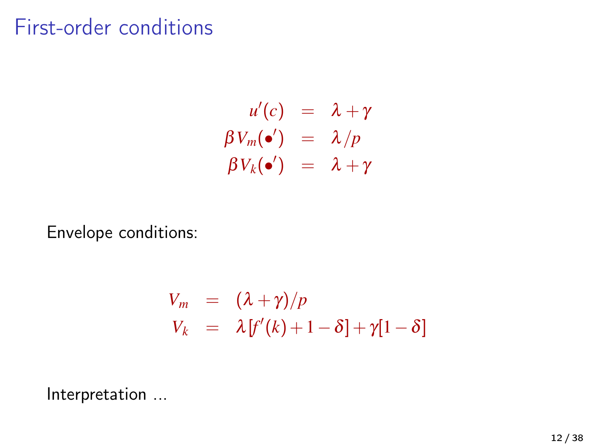## First-order conditions

$$
u'(c) = \lambda + \gamma
$$
  
\n
$$
\beta V_m(\bullet') = \lambda/p
$$
  
\n
$$
\beta V_k(\bullet') = \lambda + \gamma
$$

Envelope conditions:

$$
V_m = (\lambda + \gamma)/p
$$
  
\n
$$
V_k = \lambda [f'(k) + 1 - \delta] + \gamma [1 - \delta]
$$

Interpretation ...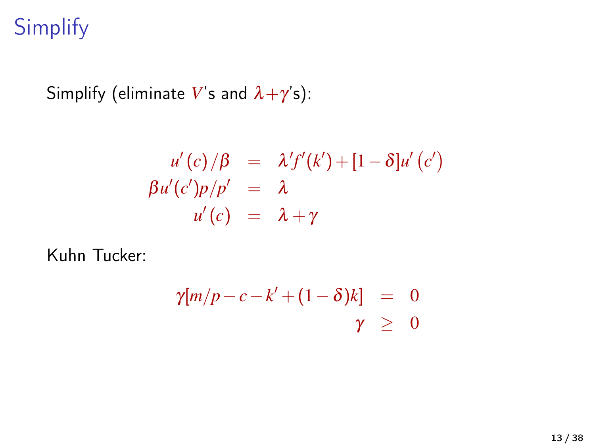# **Simplify**

Simplify (eliminate V's and  $\lambda + \gamma'$ s):

$$
u'(c)/\beta = \lambda' f'(k') + [1 - \delta]u'(c')
$$
  
\n
$$
\beta u'(c')p/p' = \lambda
$$
  
\n
$$
u'(c) = \lambda + \gamma
$$

Kuhn Tucker:

$$
\begin{array}{lcl}\gamma[m/p-c-k'+(1-\delta)k]&=&0\\ \gamma&\ge&0\end{array}
$$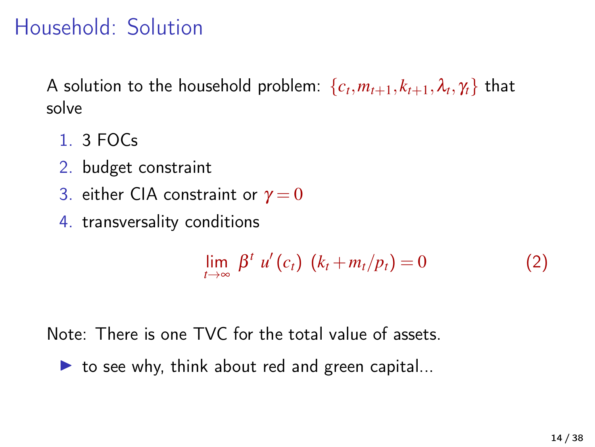## Household: Solution

A solution to the household problem:  $\{c_t, m_{t+1}, k_{t+1}, \lambda_t, \gamma_t\}$  that solve

- 1. 3 FOCs
- 2. budget constraint
- 3. either CIA constraint or  $\gamma = 0$
- 4. transversality conditions

$$
\lim_{t\to\infty}\beta^t u'(c_t)(k_t+m_t/p_t)=0\tag{2}
$$

Note: There is one TVC for the total value of assets.

 $\triangleright$  to see why, think about red and green capital...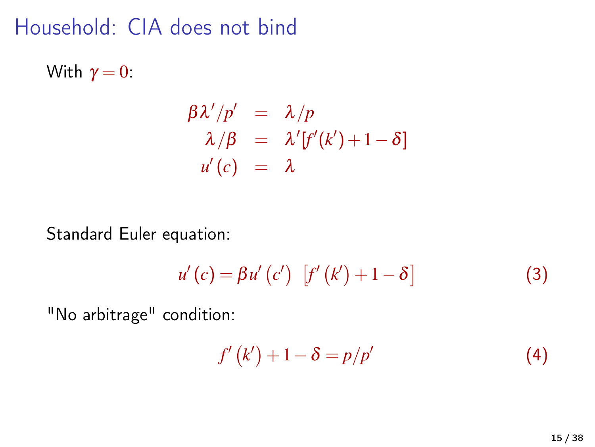## Household: CIA does not bind

With  $\gamma = 0$ :

$$
\beta \lambda'/p' = \lambda/p
$$
  
\n
$$
\lambda/\beta = \lambda'[f'(k')+1-\delta]
$$
  
\n
$$
u'(c) = \lambda
$$

Standard Euler equation:

$$
u'(c) = \beta u'(c') \left[ f'(k') + 1 - \delta \right]
$$
 (3)

"No arbitrage" condition:

$$
f'(k') + 1 - \delta = p/p'
$$
 (4)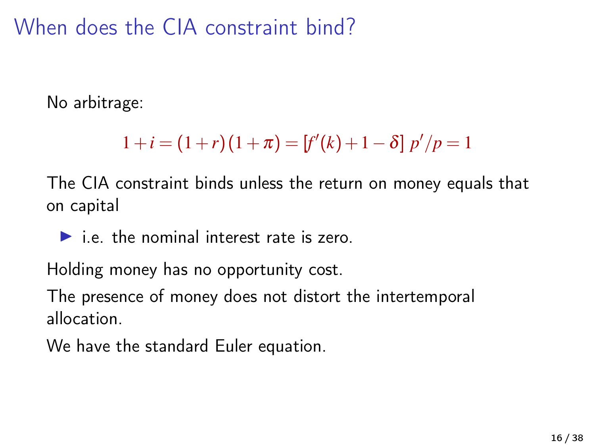When does the CIA constraint bind?

No arbitrage:

$$
1 + i = (1 + r)(1 + \pi) = [f'(k) + 1 - \delta] p'/p = 1
$$

The CIA constraint binds unless the return on money equals that on capital

 $\blacktriangleright$  i.e. the nominal interest rate is zero.

Holding money has no opportunity cost.

The presence of money does not distort the intertemporal allocation.

We have the standard Euler equation.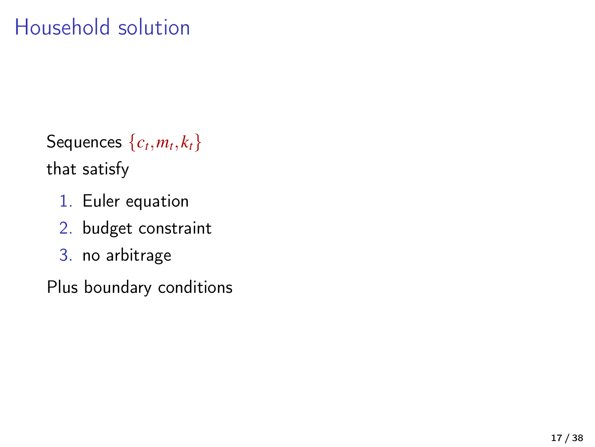Sequences  $\{c_t, m_t, k_t\}$ that satisfy

- 1. Euler equation
- 2. budget constraint
- 3. no arbitrage

Plus boundary conditions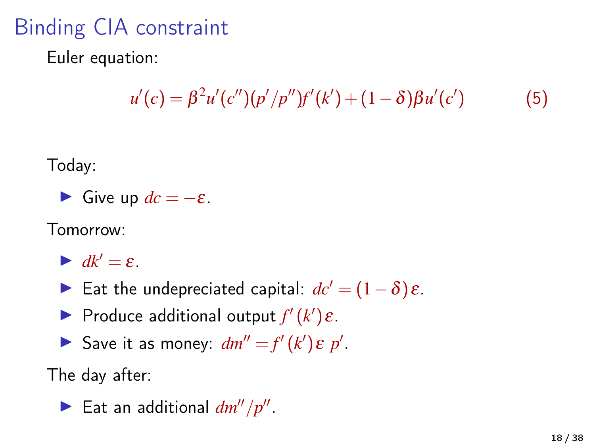# Binding CIA constraint

Euler equation:

$$
u'(c) = \beta^{2} u'(c'')(p'/p'')f'(k') + (1 - \delta)\beta u'(c')
$$
 (5)

Today:

• Give up 
$$
dc = -\varepsilon
$$
.

Tomorrow:

 $\blacktriangleright$   $dk' = \varepsilon$ .

**Eat the undepreciated capital:**  $dc' = (1 - \delta)\varepsilon$ .

**Produce additional output**  $f'(k')\varepsilon$ **.** 

Save it as money:  $dm'' = f'(k') \varepsilon p'$ .

The day after:

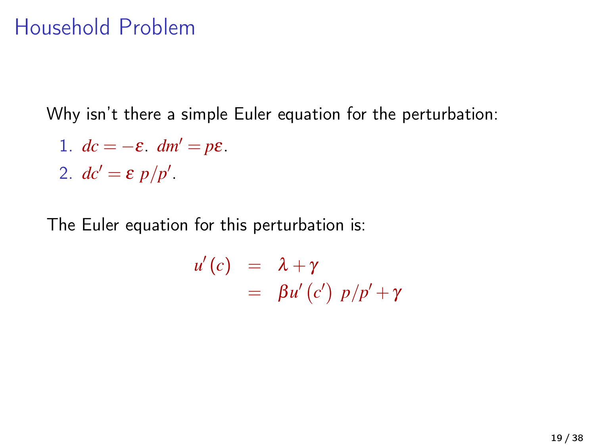## Household Problem

Why isn't there a simple Euler equation for the perturbation:

- 1.  $dc = -\varepsilon$ .  $dm' = p\varepsilon$ .
- 2.  $dc' = \varepsilon p/p'$ .

The Euler equation for this perturbation is:

$$
u'(c) = \lambda + \gamma
$$
  
=  $\beta u'(c') p/p' + \gamma$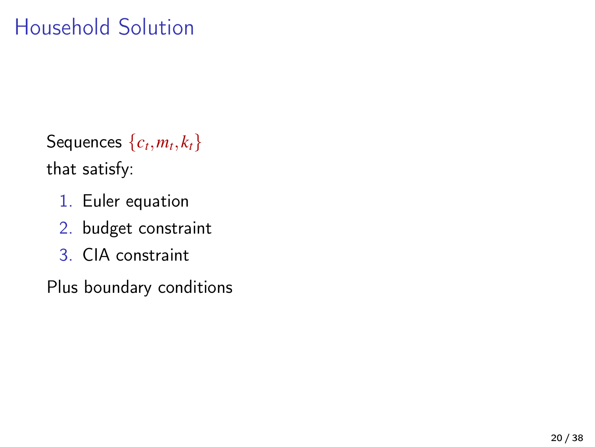Sequences  $\{c_t, m_t, k_t\}$ that satisfy:

- 1. Euler equation
- 2. budget constraint
- 3. CIA constraint

Plus boundary conditions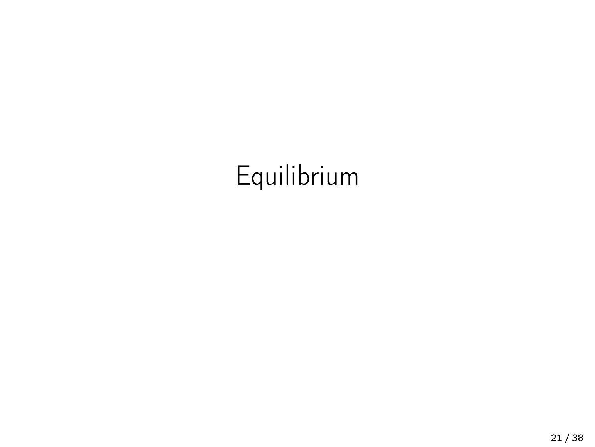# Equilibrium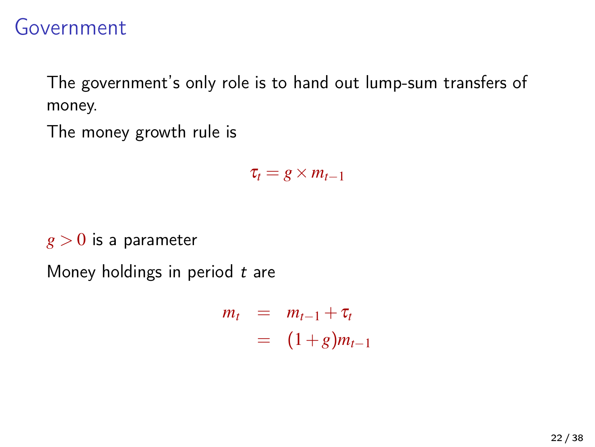### Government

The government's only role is to hand out lump-sum transfers of money.

The money growth rule is

 $\tau_t = g \times m_{t-1}$ 

 $g > 0$  is a parameter

Money holdings in period  $t$  are

$$
m_t = m_{t-1} + \tau_t
$$
  
= 
$$
(1+g)m_{t-1}
$$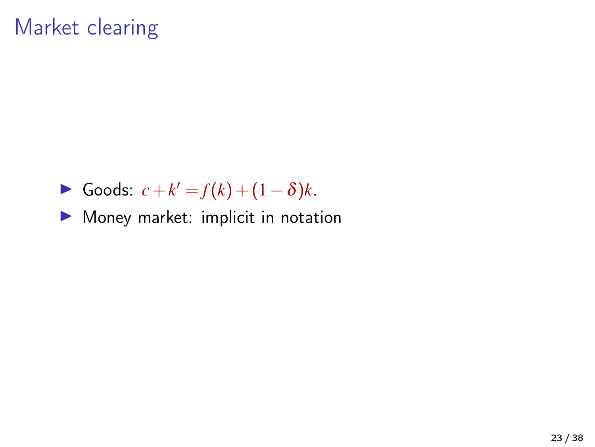## Market clearing

- $\triangleright$  Goods:  $c + k' = f(k) + (1 \delta)k$ .
- $\blacktriangleright$  Money market: implicit in notation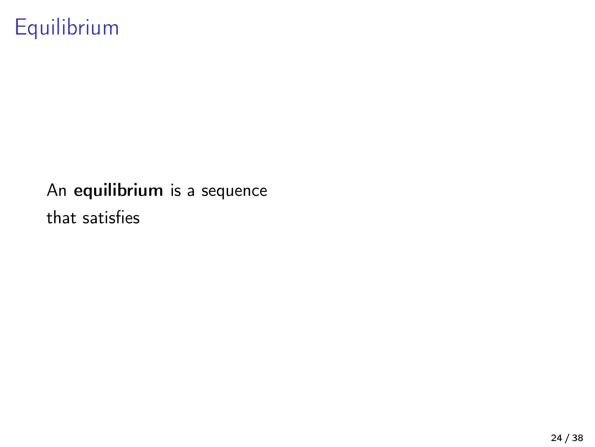# Equilibrium

#### An equilibrium is a sequence that satisfies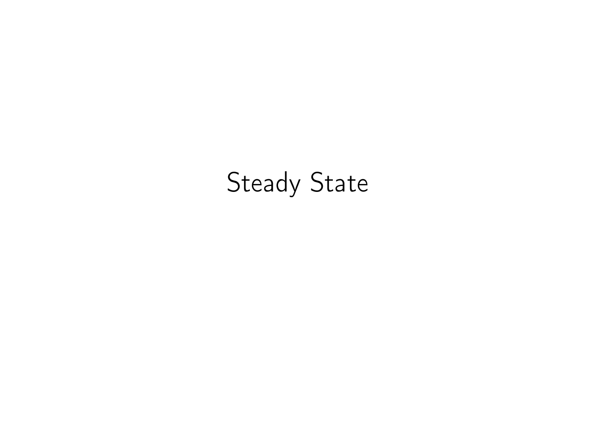# Steady State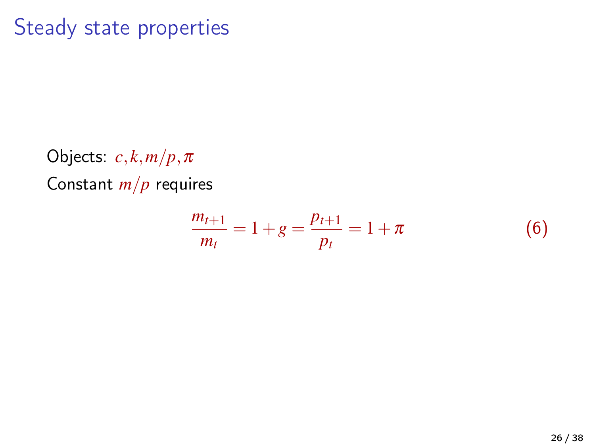### Steady state properties

Objects: *c*, *k*,*m*/*p*,π Constant *m*/*p* requires

$$
\frac{m_{t+1}}{m_t} = 1 + g = \frac{p_{t+1}}{p_t} = 1 + \pi
$$
 (6)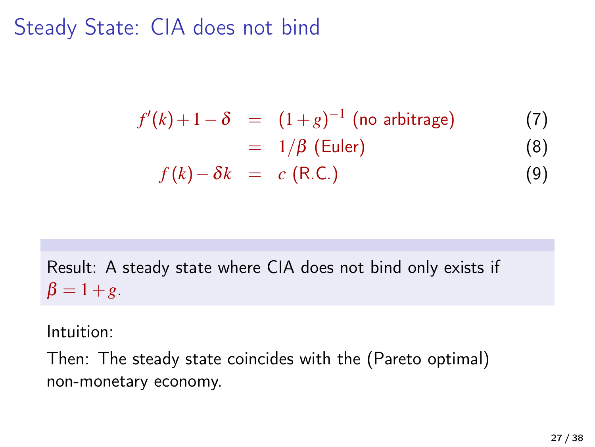## Steady State: CIA does not bind

$$
f'(k) + 1 - \delta = (1 + g)^{-1} \text{ (no arbitrage)}
$$
  
=  $1/\beta \text{ (Euler)}$  (7)  

$$
f(k) - \delta k = c \text{ (R.C.)}
$$
 (9)

Result: A steady state where CIA does not bind only exists if  $β = 1 + g$ .

#### Intuition:

Then: The steady state coincides with the (Pareto optimal) non-monetary economy.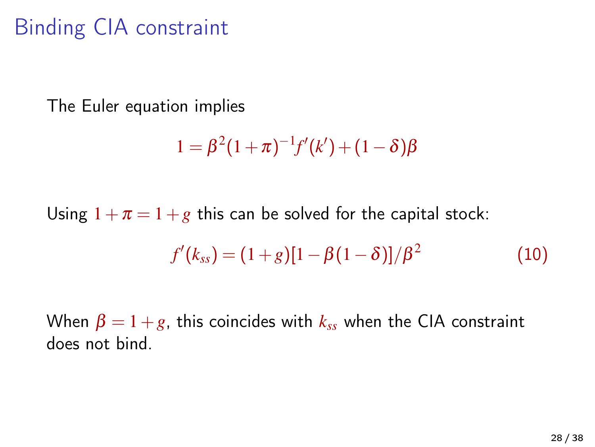## Binding CIA constraint

The Euler equation implies

$$
1 = \beta^2 (1 + \pi)^{-1} f'(k') + (1 - \delta) \beta
$$

Using  $1+\pi=1+g$  this can be solved for the capital stock:

<span id="page-27-0"></span>
$$
f'(k_{ss}) = (1+g)[1-\beta(1-\delta)]/\beta^2
$$
 (10)

When  $\beta = 1 + g$ , this coincides with  $k_{ss}$  when the CIA constraint does not bind.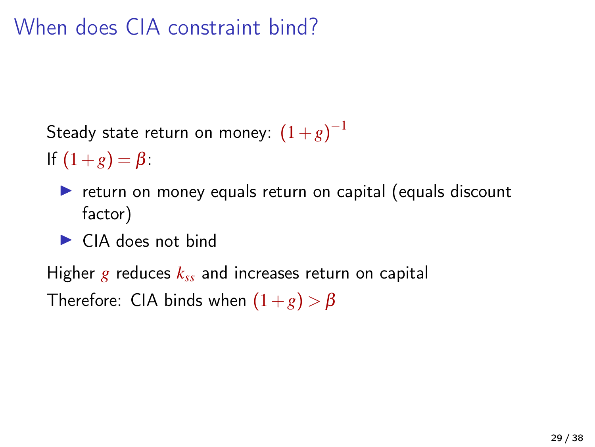## When does CIA constraint bind?

Steady state return on money:  $(1+g)^{-1}$ 

If  $(1+g) = \beta$ :

- $\triangleright$  return on money equals return on capital (equals discount factor)
- $\blacktriangleright$  CIA does not bind

Higher *g* reduces *kss* and increases return on capital Therefore: CIA binds when  $(1+g) > \beta$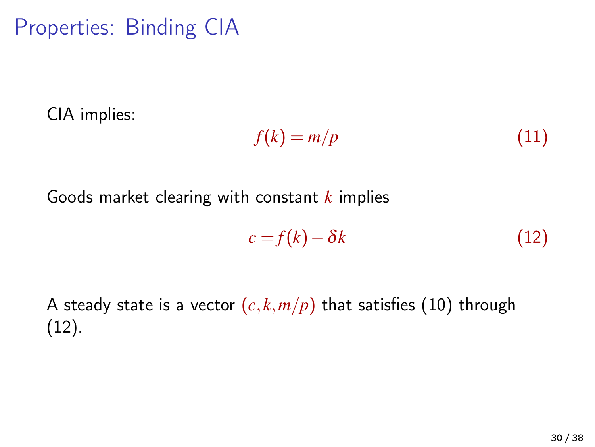CIA implies:

$$
f(k) = m/p \tag{11}
$$

Goods market clearing with constant *k* implies

<span id="page-29-0"></span>
$$
c = f(k) - \delta k \tag{12}
$$

A steady state is a vector  $(c, k, m/p)$  that satisfies [\(10\)](#page-27-0) through [\(12\)](#page-29-0).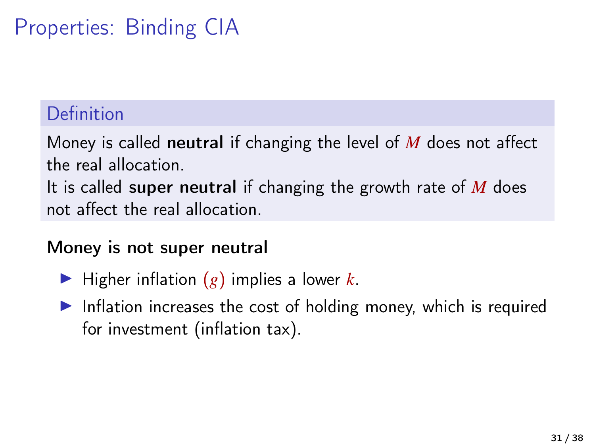#### Definition

Money is called neutral if changing the level of *M* does not affect the real allocation.

It is called super neutral if changing the growth rate of *M* does not affect the real allocation.

#### Money is not super neutral

- $\blacktriangleright$  Higher inflation  $(g)$  implies a lower *k*.
- $\blacktriangleright$  Inflation increases the cost of holding money, which is required for investment (inflation tax).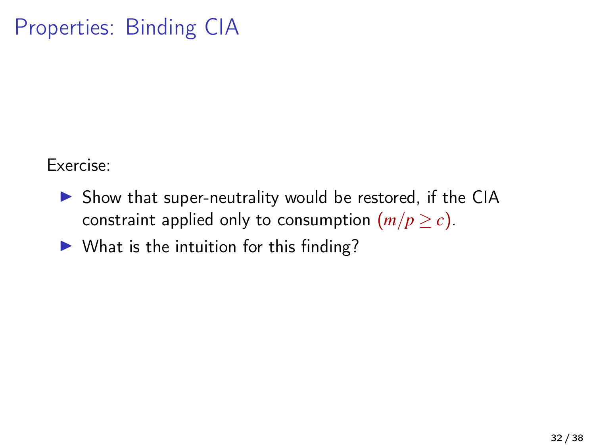Exercise:

- $\triangleright$  Show that super-neutrality would be restored, if the CIA constraint applied only to consumption  $(m/p \ge c)$ .
- $\triangleright$  What is the intuition for this finding?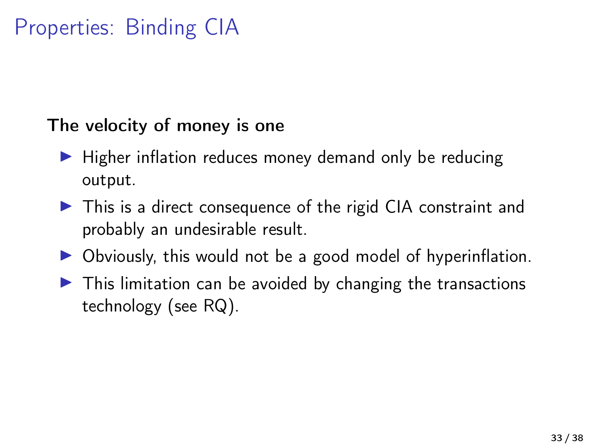The velocity of money is one

- $\blacktriangleright$  Higher inflation reduces money demand only be reducing output.
- $\triangleright$  This is a direct consequence of the rigid CIA constraint and probably an undesirable result.
- $\triangleright$  Obviously, this would not be a good model of hyperinflation.
- $\triangleright$  This limitation can be avoided by changing the transactions technology (see RQ).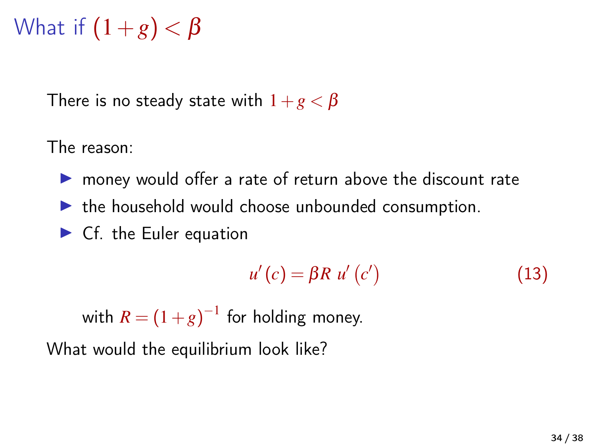What if 
$$
(1+g) < \beta
$$

There is no steady state with  $1+g < \beta$ 

The reason:

- $\triangleright$  money would offer a rate of return above the discount rate
- $\blacktriangleright$  the household would choose unbounded consumption.
- $\blacktriangleright$  Cf. the Euler equation

$$
u'(c) = \beta R \ u'(c')
$$
 (13)

with  $R = (1+g)^{-1}$  for holding money.

What would the equilibrium look like?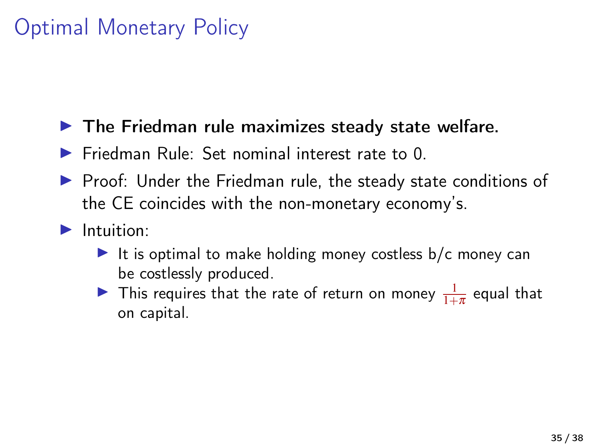## Optimal Monetary Policy

#### $\blacktriangleright$  The Friedman rule maximizes steady state welfare.

- $\blacktriangleright$  Friedman Rule: Set nominal interest rate to 0.
- $\triangleright$  Proof: Under the Friedman rule, the steady state conditions of the CE coincides with the non-monetary economy's.

#### $\blacktriangleright$  Intuition:

- It is optimal to make holding money costless  $b/c$  money can be costlessly produced.
- In This requires that the rate of return on money  $\frac{1}{1+\pi}$  equal that on capital.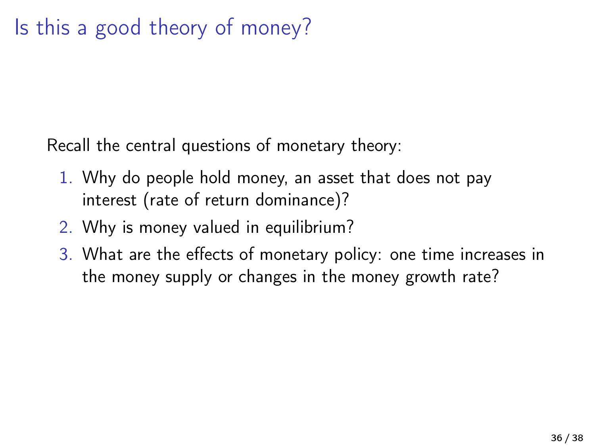Recall the central questions of monetary theory:

- 1. Why do people hold money, an asset that does not pay interest (rate of return dominance)?
- 2. Why is money valued in equilibrium?
- 3. What are the effects of monetary policy: one time increases in the money supply or changes in the money growth rate?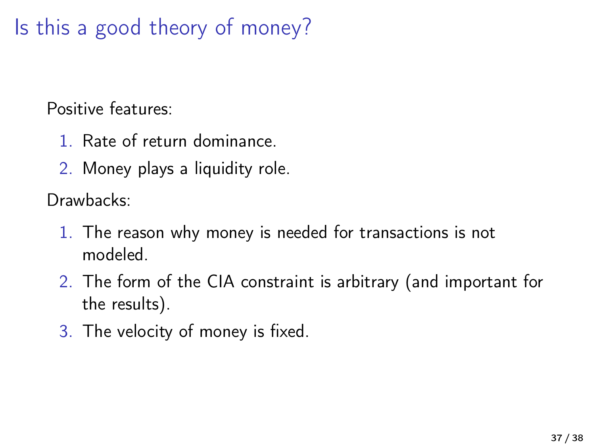Is this a good theory of money?

Positive features:

- 1. Rate of return dominance.
- 2. Money plays a liquidity role.

Drawhacks:

- 1. The reason why money is needed for transactions is not modeled.
- 2. The form of the CIA constraint is arbitrary (and important for the results).
- 3. The velocity of money is fixed.